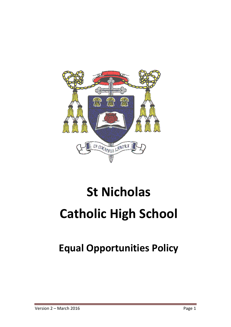

# **St Nicholas Catholic High School**

## **Equal Opportunities Policy**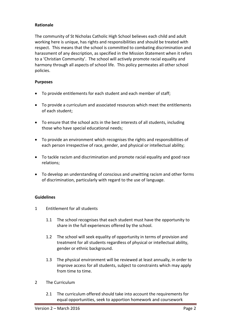### **Rationale**

The community of St Nicholas Catholic High School believes each child and adult working here is unique, has rights and responsibilities and should be treated with respect. This means that the school is committed to combating discrimination and harassment of any description, as specified in the Mission Statement when it refers to a 'Christian Community'. The school will actively promote racial equality and harmony through all aspects of school life. This policy permeates all other school policies.

#### **Purposes**

- To provide entitlements for each student and each member of staff;
- To provide a curriculum and associated resources which meet the entitlements of each student;
- To ensure that the school acts in the best interests of all students, including those who have special educational needs;
- To provide an environment which recognises the rights and responsibilities of each person irrespective of race, gender, and physical or intellectual ability;
- To tackle racism and discrimination and promote racial equality and good race relations;
- To develop an understanding of conscious and unwitting racism and other forms of discrimination, particularly with regard to the use of language.

#### **Guidelines**

- 1 Entitlement for all students
	- 1.1 The school recognises that each student must have the opportunity to share in the full experiences offered by the school.
	- 1.2 The school will seek equality of opportunity in terms of provision and treatment for all students regardless of physical or intellectual ability, gender or ethnic background.
	- 1.3 The physical environment will be reviewed at least annually, in order to improve access for all students, subject to constraints which may apply from time to time.
- 2 The Curriculum
	- 2.1 The curriculum offered should take into account the requirements for equal opportunities, seek to apportion homework and coursework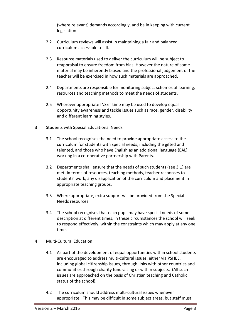(where relevant) demands accordingly, and be in keeping with current legislation.

- 2.2 Curriculum reviews will assist in maintaining a fair and balanced curriculum accessible to all.
- 2.3 Resource materials used to deliver the curriculum will be subject to reappraisal to ensure freedom from bias. However the nature of some material may be inherently biased and the professional judgement of the teacher will be exercised in how such materials are approached.
- 2.4 Departments are responsible for monitoring subject schemes of learning, resources and teaching methods to meet the needs of students.
- 2.5 Wherever appropriate INSET time may be used to develop equal opportunity awareness and tackle issues such as race, gender, disability and different learning styles.
- 3 Students with Special Educational Needs
	- 3.1 The school recognises the need to provide appropriate access to the curriculum for students with special needs, including the gifted and talented, and those who have English as an additional language (EAL) working in a co-operative partnership with Parents.
	- 3.2 Departments shall ensure that the needs of such students (see 3.1) are met, in terms of resources, teaching methods, teacher responses to students' work, any disapplication of the curriculum and placement in appropriate teaching groups.
	- 3.3 Where appropriate, extra support will be provided from the Special Needs resources.
	- 3.4 The school recognises that each pupil may have special needs of some description at different times, in these circumstances the school will seek to respond effectively, within the constraints which may apply at any one time.
- 4 Multi-Cultural Education
	- 4.1 As part of the development of equal opportunities within school students are encouraged to address multi-cultural issues, either via PSHEE, including global citizenship issues, through links with other countries and communities through charity fundraising or within subjects. (All such issues are approached on the basis of Christian teaching and Catholic status of the school).
	- 4.2 The curriculum should address multi-cultural issues whenever appropriate. This may be difficult in some subject areas, but staff must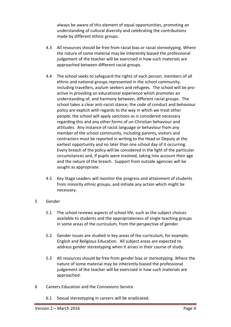always be aware of this element of equal opportunities, promoting an understanding of cultural diversity and celebrating the contributions made by different ethnic groups.

- 4.3 All resources should be free from racial bias or racial stereotyping. Where the nature of some material may be inherently biased the professional judgement of the teacher will be exercised in how such materials are approached between different racial groups.
- 4.4 The school seeks to safeguard the rights of each person, members of all ethnic and national groups represented in the school community, including travellers, asylum seekers and refugees. The school will be proactive in providing an educational experience which promotes an understanding of, and harmony between, different racial groups. The school takes a clear anti-racist stance; the code of conduct and behaviour policy are explicit with regards to the way in which we treat other people; the school will apply sanctions as is considered necessary regarding this and any other forms of un-Christian behaviour and attitudes. Any instance of racist language or behaviour from any member of the school community, including parents, visitors and contractors must be reported in writing to the Head or Deputy at the earliest opportunity and no later than one school day of it occurring. Every breach of the policy will be considered in the light of the particular circumstances and, if pupils were involved, taking into account their age and the nature of the breach. Support from outside agencies will be sought as appropriate.
- 4.5 Key Stage Leaders will monitor the progress and attainment of students from minority ethnic groups, and initiate any action which might be necessary.

#### 5 Gender

- 5.1 The school reviews aspects of school life, such as the subject choices available to students and the appropriateness of single teaching groups in some areas of the curriculum, from the perspective of gender.
- 5.2 Gender issues are studied in key areas of the curriculum, for example, English and Religious Education. All subject areas are expected to address gender stereotyping when it arises in their course of study.
- 5.3 All resources should be free from gender bias or stereotyping. Where the nature of some material may be inherently biased the professional judgement of the teacher will be exercised in how such materials are approached.
- 6 Careers Education and the Connexions Service
	- 6.1 Sexual stereotyping in careers will be eradicated.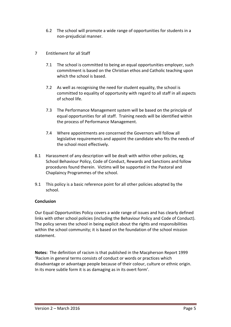- 6.2 The school will promote a wide range of opportunities for students in a non-prejudicial manner.
- 7 Entitlement for all Staff
	- 7.1 The school is committed to being an equal opportunities employer, such commitment is based on the Christian ethos and Catholic teaching upon which the school is based.
	- 7.2 As well as recognising the need for student equality, the school is committed to equality of opportunity with regard to all staff in all aspects of school life.
	- 7.3 The Performance Management system will be based on the principle of equal opportunities for all staff. Training needs will be identified within the process of Performance Management.
	- 7.4 Where appointments are concerned the Governors will follow all legislative requirements and appoint the candidate who fits the needs of the school most effectively.
- 8.1 Harassment of any description will be dealt with within other policies, eg School Behaviour Policy, Code of Conduct, Rewards and Sanctions and follow procedures found therein. Victims will be supported in the Pastoral and Chaplaincy Programmes of the school.
- 9.1 This policy is a basic reference point for all other policies adopted by the school.

#### **Conclusion**

Our Equal Opportunities Policy covers a wide range of issues and has clearly defined links with other school policies (including the Behaviour Policy and Code of Conduct). The policy serves the school in being explicit about the rights and responsibilities within the school community; it is based on the foundation of the school mission statement.

**Notes:** The definition of racism is that published in the Macpherson Report 1999 'Racism in general terms consists of conduct or words or practices which disadvantage or advantage people because of their colour, culture or ethnic origin. In its more subtle form it is as damaging as in its overt form'.